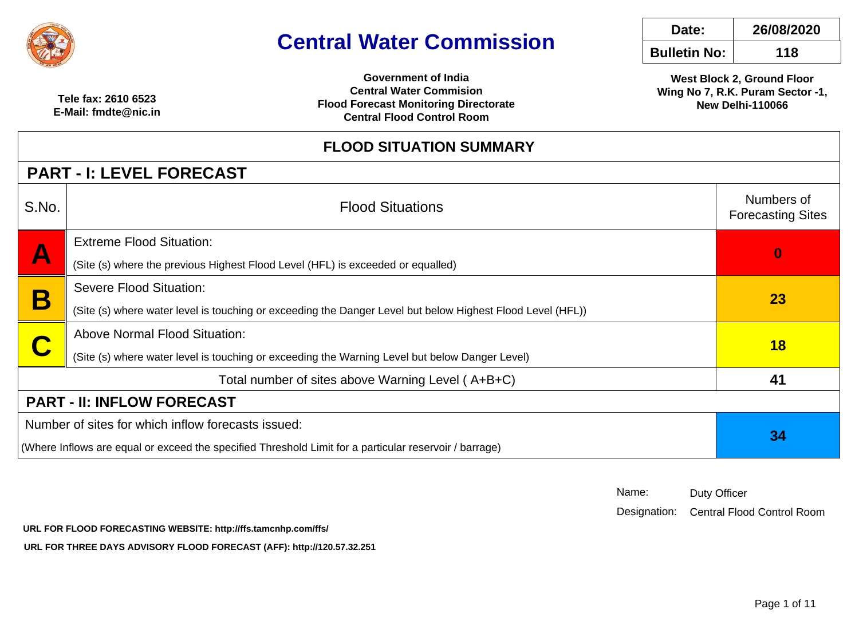

# **Central Water Commission**

|   | Date:               | 26/08/2020 |
|---|---------------------|------------|
| n | <b>Bulletin No:</b> | 118        |

**West Block 2, Ground Floor Wing No 7, R.K. Puram Sector -1,New Delhi-110066**

 **Tele fax: 2610 6523 E-Mail: fmdte@nic.in**

**Government of India Central Water Commision Flood Forecast Monitoring DirectorateCentral Flood Control Room**

### **FLOOD SITUATION SUMMARY**

### **PART - I: LEVEL FORECAST**

| . <i>.</i>                | 1. LEVEE I VIILVAVI                                                                                        |                                        |  |  |  |  |  |
|---------------------------|------------------------------------------------------------------------------------------------------------|----------------------------------------|--|--|--|--|--|
| S.No.                     | <b>Flood Situations</b>                                                                                    | Numbers of<br><b>Forecasting Sites</b> |  |  |  |  |  |
| $\boldsymbol{\mathsf{A}}$ | <b>Extreme Flood Situation:</b>                                                                            | $\bf{0}$                               |  |  |  |  |  |
|                           | (Site (s) where the previous Highest Flood Level (HFL) is exceeded or equalled)                            |                                        |  |  |  |  |  |
| E                         | <b>Severe Flood Situation:</b>                                                                             | <b>23</b>                              |  |  |  |  |  |
|                           | (Site (s) where water level is touching or exceeding the Danger Level but below Highest Flood Level (HFL)) |                                        |  |  |  |  |  |
|                           | <b>Above Normal Flood Situation:</b>                                                                       | 18                                     |  |  |  |  |  |
|                           | (Site (s) where water level is touching or exceeding the Warning Level but below Danger Level)             |                                        |  |  |  |  |  |
|                           | Total number of sites above Warning Level (A+B+C)                                                          | 41                                     |  |  |  |  |  |
|                           | <b>PART - II: INFLOW FORECAST</b>                                                                          |                                        |  |  |  |  |  |
|                           | Number of sites for which inflow forecasts issued:                                                         | 34                                     |  |  |  |  |  |
|                           | (Where Inflows are equal or exceed the specified Threshold Limit for a particular reservoir / barrage)     |                                        |  |  |  |  |  |

| Name: | <b>Duty Officer</b> |
|-------|---------------------|
|-------|---------------------|

Designation: Central Flood Control Room

 **URL FOR FLOOD FORECASTING WEBSITE: http://ffs.tamcnhp.com/ffs/**

 **URL FOR THREE DAYS ADVISORY FLOOD FORECAST (AFF): http://120.57.32.251**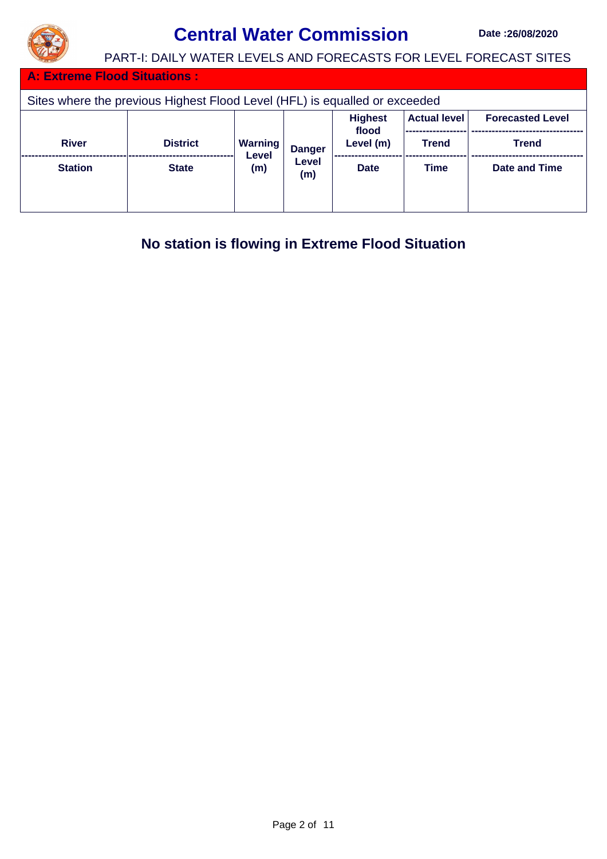

## **Central Water Commission** Date :26/08/2020

PART-I: DAILY WATER LEVELS AND FORECASTS FOR LEVEL FORECAST SITES

**Extreme Flood Situations :** 

| Sites where the previous Highest Flood Level (HFL) is equalled or exceeded |                                                |                         |               |                    |              |               |  |  |  |
|----------------------------------------------------------------------------|------------------------------------------------|-------------------------|---------------|--------------------|--------------|---------------|--|--|--|
|                                                                            | <b>Actual level</b><br><b>Forecasted Level</b> |                         |               |                    |              |               |  |  |  |
| <b>River</b>                                                               | <b>District</b>                                | <b>Warning</b><br>Level | <b>Danger</b> | flood<br>Level (m) | <b>Trend</b> | <b>Trend</b>  |  |  |  |
| <b>Station</b>                                                             | <b>State</b>                                   | (m)                     | Level<br>(m)  | <b>Date</b>        | <b>Time</b>  | Date and Time |  |  |  |

**No station is flowing in Extreme Flood Situation**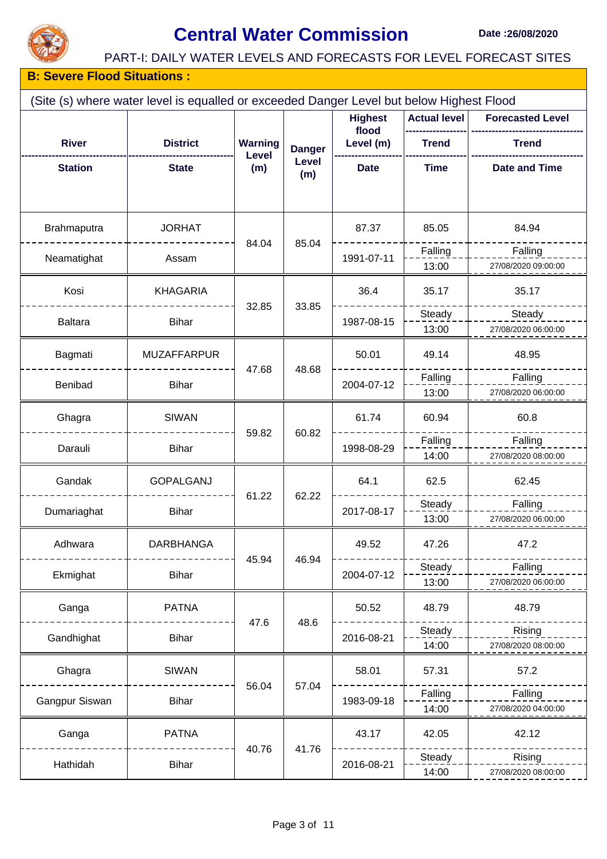

# **Central Water Commission** Date :26/08/2020

#### PART-I: DAILY WATER LEVELS AND FORECASTS FOR LEVEL FORECAST SITES

#### **B: Severe Flood Situations :**

| (Site (s) where water level is equalled or exceeded Danger Level but below Highest Flood |                    |                         |                     |                         |              |                      |  |  |
|------------------------------------------------------------------------------------------|--------------------|-------------------------|---------------------|-------------------------|--------------|----------------------|--|--|
|                                                                                          |                    | <b>Highest</b>          | <b>Actual level</b> | <b>Forecasted Level</b> |              |                      |  |  |
| <b>River</b>                                                                             | <b>District</b>    | <b>Warning</b><br>Level | <b>Danger</b>       | flood<br>Level (m)      | <b>Trend</b> | <b>Trend</b>         |  |  |
| <b>Station</b>                                                                           | <b>State</b>       | (m)                     | Level<br>(m)        | <b>Date</b>             | <b>Time</b>  | <b>Date and Time</b> |  |  |
|                                                                                          |                    |                         |                     |                         |              |                      |  |  |
| Brahmaputra                                                                              | <b>JORHAT</b>      | 84.04                   | 85.04               | 87.37                   | 85.05        | 84.94                |  |  |
| Neamatighat                                                                              | Assam              |                         |                     | 1991-07-11              | Falling      | Falling              |  |  |
|                                                                                          |                    |                         |                     |                         | 13:00        | 27/08/2020 09:00:00  |  |  |
| Kosi                                                                                     | <b>KHAGARIA</b>    | 32.85                   | 33.85               | 36.4                    | 35.17        | 35.17                |  |  |
| <b>Baltara</b>                                                                           | <b>Bihar</b>       |                         |                     | 1987-08-15              | Steady       | Steady               |  |  |
|                                                                                          |                    |                         |                     |                         | 13:00        | 27/08/2020 06:00:00  |  |  |
| Bagmati                                                                                  | <b>MUZAFFARPUR</b> | 47.68                   | 48.68               | 50.01                   | 49.14        | 48.95                |  |  |
| Benibad                                                                                  | <b>Bihar</b>       |                         |                     | 2004-07-12              | Falling      | Falling              |  |  |
|                                                                                          |                    |                         |                     |                         | 13:00        | 27/08/2020 06:00:00  |  |  |
| Ghagra                                                                                   | <b>SIWAN</b>       | 59.82                   |                     | 61.74                   | 60.94        | 60.8                 |  |  |
| Darauli                                                                                  | <b>Bihar</b>       |                         | 60.82               | 1998-08-29              | Falling      | Falling              |  |  |
|                                                                                          |                    |                         |                     |                         | 14:00        | 27/08/2020 08:00:00  |  |  |
| Gandak                                                                                   | <b>GOPALGANJ</b>   | 61.22                   | 62.22               | 64.1                    | 62.5         | 62.45                |  |  |
| Dumariaghat                                                                              | <b>Bihar</b>       |                         |                     | 2017-08-17              | Steady       | Falling              |  |  |
|                                                                                          |                    |                         |                     |                         | 13:00        | 27/08/2020 06:00:00  |  |  |
| Adhwara                                                                                  | DARBHANGA          |                         |                     | 49.52                   | 47.26        | 47.2                 |  |  |
| Ekmighat                                                                                 | <b>Bihar</b>       | 45.94                   | 46.94               | 2004-07-12              | Steady       | Falling              |  |  |
|                                                                                          |                    |                         |                     |                         | 13:00        | 27/08/2020 06:00:00  |  |  |
| Ganga                                                                                    | <b>PATNA</b>       |                         |                     | 50.52                   | 48.79        | 48.79                |  |  |
| Gandhighat                                                                               | <b>Bihar</b>       | 47.6                    | 48.6                | 2016-08-21              | Steady       | Rising               |  |  |
|                                                                                          |                    |                         |                     |                         | 14:00        | 27/08/2020 08:00:00  |  |  |
| Ghagra                                                                                   | <b>SIWAN</b>       |                         |                     | 58.01                   | 57.31        | 57.2                 |  |  |
| Gangpur Siswan                                                                           | <b>Bihar</b>       | 56.04                   | 57.04               | 1983-09-18              | Falling      | Falling              |  |  |
|                                                                                          |                    |                         |                     |                         | 14:00        | 27/08/2020 04:00:00  |  |  |
| Ganga                                                                                    | <b>PATNA</b>       |                         |                     | 43.17                   | 42.05        | 42.12                |  |  |
| Hathidah                                                                                 | <b>Bihar</b>       | 40.76                   | 41.76               | 2016-08-21              | Steady       | Rising               |  |  |
|                                                                                          |                    |                         |                     |                         | 14:00        | 27/08/2020 08:00:00  |  |  |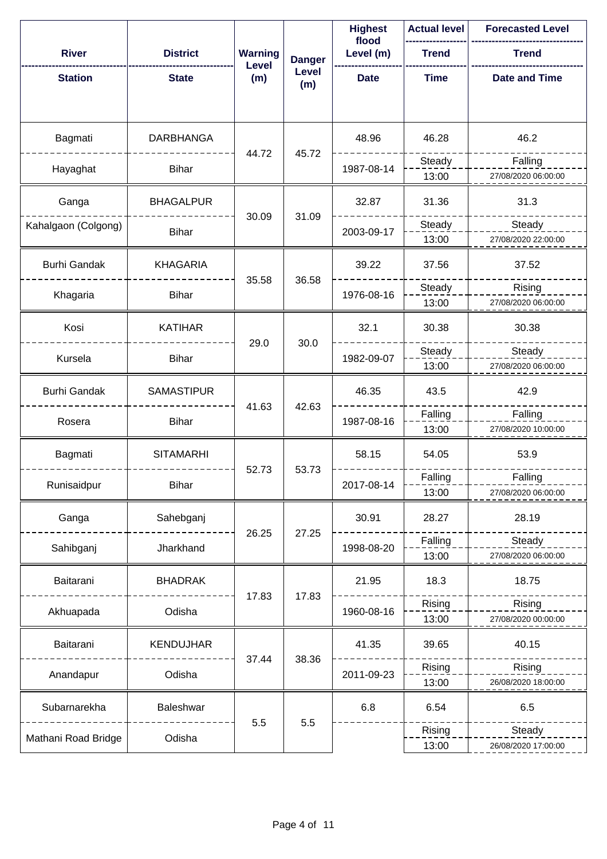|                     |                   |                         |               | <b>Highest</b><br>flood | <b>Actual level</b> | <b>Forecasted Level</b> |
|---------------------|-------------------|-------------------------|---------------|-------------------------|---------------------|-------------------------|
| <b>River</b>        | <b>District</b>   | <b>Warning</b><br>Level | <b>Danger</b> | Level (m)               | <b>Trend</b>        | <b>Trend</b>            |
| <b>Station</b>      | <b>State</b>      | (m)                     | Level<br>(m)  | <b>Date</b>             | <b>Time</b>         | <b>Date and Time</b>    |
|                     |                   |                         |               |                         |                     |                         |
| Bagmati             | <b>DARBHANGA</b>  | 44.72                   | 45.72         | 48.96                   | 46.28               | 46.2                    |
| Hayaghat            | <b>Bihar</b>      |                         |               | 1987-08-14              | Steady              | Falling                 |
|                     |                   |                         |               |                         | 13:00               | 27/08/2020 06:00:00     |
| Ganga               | <b>BHAGALPUR</b>  | 30.09                   | 31.09         | 32.87                   | 31.36               | 31.3                    |
| Kahalgaon (Colgong) | <b>Bihar</b>      |                         |               | 2003-09-17              | Steady              | Steady                  |
|                     |                   |                         |               |                         | 13:00               | 27/08/2020 22:00:00     |
| <b>Burhi Gandak</b> | <b>KHAGARIA</b>   | 35.58                   | 36.58         | 39.22                   | 37.56               | 37.52                   |
| Khagaria            | <b>Bihar</b>      |                         |               | 1976-08-16              | Steady              | Rising                  |
|                     |                   |                         |               |                         | 13:00               | 27/08/2020 06:00:00     |
| Kosi                | <b>KATIHAR</b>    | 29.0                    | 30.0          | 32.1                    | 30.38               | 30.38                   |
| Kursela             | <b>Bihar</b>      |                         |               | 1982-09-07              | Steady              | Steady                  |
|                     |                   |                         |               |                         | 13:00               | 27/08/2020 06:00:00     |
| <b>Burhi Gandak</b> | <b>SAMASTIPUR</b> | 41.63                   | 42.63         | 46.35                   | 43.5                | 42.9                    |
| Rosera              | <b>Bihar</b>      |                         |               | 1987-08-16              | Falling             | Falling                 |
|                     |                   |                         |               |                         | 13:00               | 27/08/2020 10:00:00     |
| Bagmati             | <b>SITAMARHI</b>  | 52.73                   | 53.73         | 58.15                   | 54.05               | 53.9                    |
| Runisaidpur         | <b>Bihar</b>      |                         |               | 2017-08-14              | Falling             | Falling                 |
|                     |                   |                         |               |                         | 13:00               | 27/08/2020 06:00:00     |
| Ganga               | Sahebganj         | 26.25                   | 27.25         | 30.91                   | 28.27               | 28.19                   |
| Sahibganj           | Jharkhand         |                         |               | 1998-08-20              | Falling             | Steady                  |
|                     |                   |                         |               |                         | 13:00               | 27/08/2020 06:00:00     |
| Baitarani           | <b>BHADRAK</b>    | 17.83                   | 17.83         | 21.95                   | 18.3                | 18.75                   |
| Akhuapada           | Odisha            |                         |               | 1960-08-16              | Rising              | Rising                  |
|                     |                   |                         |               |                         | 13:00               | 27/08/2020 00:00:00     |
| Baitarani           | <b>KENDUJHAR</b>  | 37.44                   | 38.36         | 41.35                   | 39.65               | 40.15                   |
| Anandapur           | Odisha            |                         |               | 2011-09-23              | Rising              | Rising                  |
|                     |                   |                         |               |                         | 13:00               | 26/08/2020 18:00:00     |
| Subarnarekha        | Baleshwar         |                         |               | 6.8                     | 6.54                | 6.5                     |
| Mathani Road Bridge | Odisha            | 5.5                     | 5.5           |                         | Rising              | Steady                  |
|                     |                   |                         |               |                         | 13:00               | 26/08/2020 17:00:00     |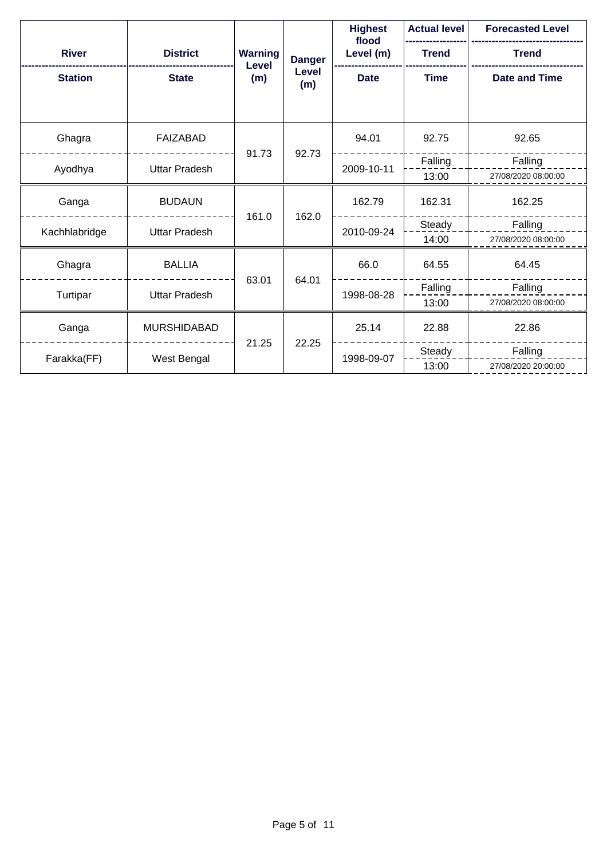|                |                      |                         |               | <b>Highest</b><br>flood | <b>Actual level</b> | <b>Forecasted Level</b> |
|----------------|----------------------|-------------------------|---------------|-------------------------|---------------------|-------------------------|
| <b>River</b>   | <b>District</b>      | <b>Warning</b><br>Level | <b>Danger</b> | Level (m)               | <b>Trend</b>        | <b>Trend</b>            |
| <b>Station</b> | <b>State</b>         | (m)                     | Level<br>(m)  | <b>Date</b>             | <b>Time</b>         | <b>Date and Time</b>    |
| Ghagra         | <b>FAIZABAD</b>      | 91.73                   |               | 94.01                   | 92.75               | 92.65                   |
| Ayodhya        | <b>Uttar Pradesh</b> |                         | 92.73         | 2009-10-11              | Falling             | Falling                 |
|                |                      |                         |               |                         | 13:00               | 27/08/2020 08:00:00     |
| Ganga          | <b>BUDAUN</b>        | 161.0                   | 162.0         | 162.79                  | 162.31              | 162.25                  |
| Kachhlabridge  | <b>Uttar Pradesh</b> |                         |               | 2010-09-24              | Steady              | Falling                 |
|                |                      |                         |               |                         | 14:00               | 27/08/2020 08:00:00     |
| Ghagra         | <b>BALLIA</b>        | 63.01                   | 64.01         | 66.0                    | 64.55               | 64.45                   |
| Turtipar       | <b>Uttar Pradesh</b> |                         |               | 1998-08-28              | Falling             | Falling                 |
|                |                      |                         |               |                         | 13:00               | 27/08/2020 08:00:00     |
| Ganga          | <b>MURSHIDABAD</b>   | 21.25                   | 22.25         | 25.14                   | 22.88               | 22.86                   |
| Farakka(FF)    | West Bengal          |                         |               | 1998-09-07              | Steady              | Falling                 |
|                |                      |                         |               |                         | 13:00               | 27/08/2020 20:00:00     |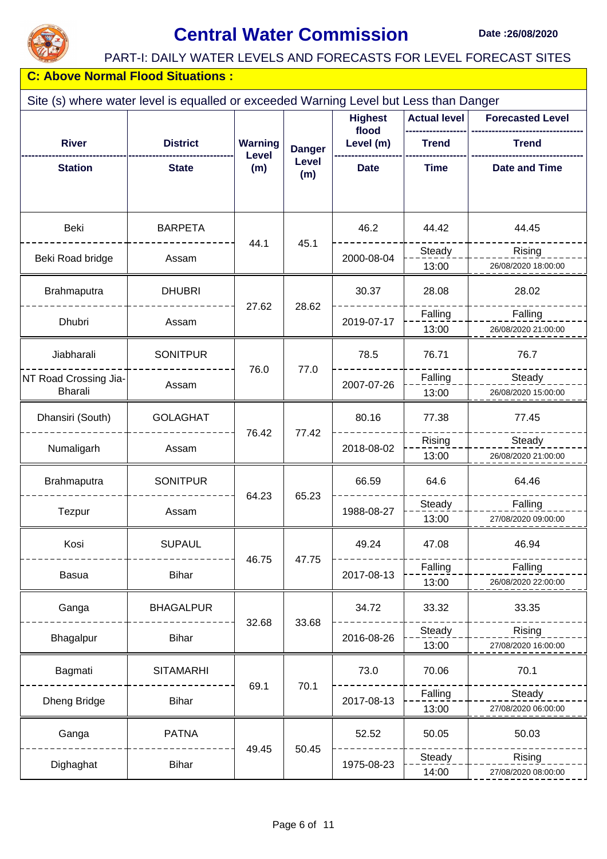

## **Central Water Commission** Date :26/08/2020

#### PART-I: DAILY WATER LEVELS AND FORECASTS FOR LEVEL FORECAST SITES

| <b>C: Above Normal Flood Situations:</b>                                              |                  |                         |                         |                     |                         |                      |  |  |  |  |
|---------------------------------------------------------------------------------------|------------------|-------------------------|-------------------------|---------------------|-------------------------|----------------------|--|--|--|--|
| Site (s) where water level is equalled or exceeded Warning Level but Less than Danger |                  |                         |                         |                     |                         |                      |  |  |  |  |
|                                                                                       |                  |                         | <b>Highest</b><br>flood | <b>Actual level</b> | <b>Forecasted Level</b> |                      |  |  |  |  |
| <b>River</b>                                                                          | <b>District</b>  | <b>Warning</b><br>Level | <b>Danger</b>           | Level (m)           | <b>Trend</b>            | <b>Trend</b>         |  |  |  |  |
| <b>Station</b>                                                                        | <b>State</b>     | (m)                     | Level<br>(m)            | <b>Date</b>         | <b>Time</b>             | <b>Date and Time</b> |  |  |  |  |
| Beki                                                                                  | <b>BARPETA</b>   | 44.1                    | 45.1                    | 46.2                | 44.42                   | 44.45                |  |  |  |  |
| Beki Road bridge                                                                      | Assam            |                         |                         | 2000-08-04          | Steady                  | Rising               |  |  |  |  |
|                                                                                       |                  |                         |                         |                     | 13:00                   | 26/08/2020 18:00:00  |  |  |  |  |
| Brahmaputra                                                                           | <b>DHUBRI</b>    | 27.62                   | 28.62                   | 30.37               | 28.08                   | 28.02                |  |  |  |  |
| Dhubri                                                                                | Assam            |                         |                         | 2019-07-17          | Falling                 | Falling              |  |  |  |  |
|                                                                                       |                  |                         |                         |                     | 13:00                   | 26/08/2020 21:00:00  |  |  |  |  |
| Jiabharali                                                                            | <b>SONITPUR</b>  |                         |                         | 78.5                | 76.71                   | 76.7                 |  |  |  |  |
| NT Road Crossing Jia-                                                                 | Assam            | 76.0                    | 77.0                    | 2007-07-26          | Falling                 | Steady               |  |  |  |  |
| <b>Bharali</b>                                                                        |                  |                         |                         |                     | 13:00                   | 26/08/2020 15:00:00  |  |  |  |  |
| Dhansiri (South)                                                                      | <b>GOLAGHAT</b>  |                         | 77.42                   | 80.16               | 77.38                   | 77.45                |  |  |  |  |
| Numaligarh                                                                            | Assam            | 76.42                   |                         | 2018-08-02          | Rising                  | Steady               |  |  |  |  |
|                                                                                       |                  |                         |                         |                     | 13:00                   | 26/08/2020 21:00:00  |  |  |  |  |
| Brahmaputra                                                                           | <b>SONITPUR</b>  |                         |                         | 66.59               | 64.6                    | 64.46                |  |  |  |  |
| Tezpur                                                                                | Assam            | 64.23                   | 65.23                   | 1988-08-27          | Steady                  | Falling              |  |  |  |  |
|                                                                                       |                  |                         |                         |                     | 13:00                   | 27/08/2020 09:00:00  |  |  |  |  |
| Kosi                                                                                  | <b>SUPAUL</b>    |                         |                         | 49.24               | 47.08                   | 46.94                |  |  |  |  |
| <b>Basua</b>                                                                          | <b>Bihar</b>     | 46.75                   | 47.75                   | 2017-08-13          | Falling                 | Falling              |  |  |  |  |
|                                                                                       |                  |                         |                         |                     | 13:00                   | 26/08/2020 22:00:00  |  |  |  |  |
| Ganga                                                                                 | <b>BHAGALPUR</b> |                         |                         | 34.72               | 33.32                   | 33.35                |  |  |  |  |
| Bhagalpur                                                                             | <b>Bihar</b>     | 32.68                   | 33.68                   | 2016-08-26          | Steady                  | Rising               |  |  |  |  |
|                                                                                       |                  |                         |                         |                     | 13:00                   | 27/08/2020 16:00:00  |  |  |  |  |
| Bagmati                                                                               | <b>SITAMARHI</b> |                         |                         | 73.0                | 70.06                   | 70.1                 |  |  |  |  |
| Dheng Bridge                                                                          | <b>Bihar</b>     | 69.1                    | 70.1                    | 2017-08-13          | Falling                 | Steady               |  |  |  |  |
|                                                                                       |                  |                         |                         |                     | 13:00                   | 27/08/2020 06:00:00  |  |  |  |  |
| Ganga                                                                                 | <b>PATNA</b>     |                         |                         | 52.52               | 50.05                   | 50.03                |  |  |  |  |
|                                                                                       | <b>Bihar</b>     | 49.45                   | 50.45                   | 1975-08-23          | Steady                  | Rising               |  |  |  |  |
| Dighaghat                                                                             |                  |                         |                         |                     | 14:00                   | 27/08/2020 08:00:00  |  |  |  |  |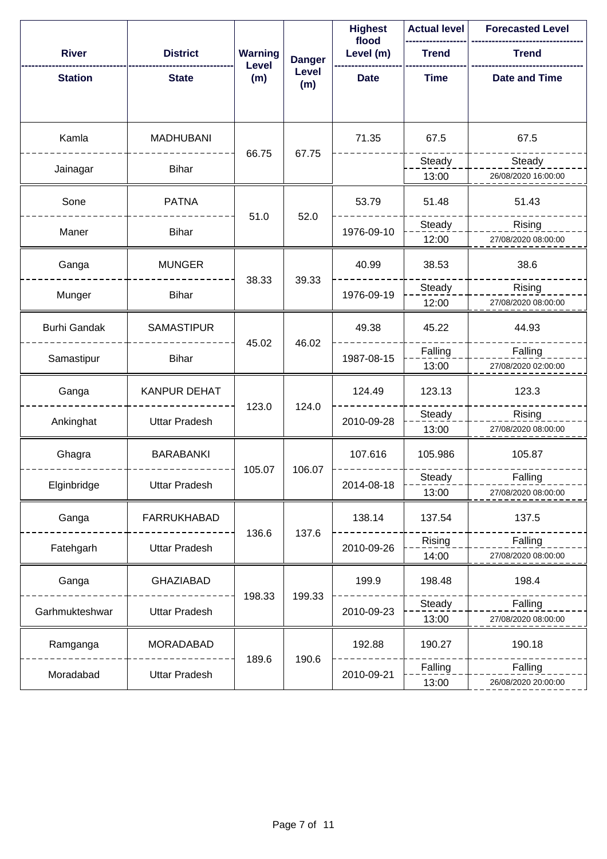|                     |                      |                |               | <b>Highest</b><br>flood | <b>Actual level</b> | <b>Forecasted Level</b> |
|---------------------|----------------------|----------------|---------------|-------------------------|---------------------|-------------------------|
| <b>River</b>        | <b>District</b>      | <b>Warning</b> | <b>Danger</b> | Level (m)               | <b>Trend</b>        | <b>Trend</b>            |
| <b>Station</b>      | <b>State</b>         | Level<br>(m)   | Level<br>(m)  | <b>Date</b>             | <b>Time</b>         | <b>Date and Time</b>    |
| Kamla               | <b>MADHUBANI</b>     | 66.75          | 67.75         | 71.35                   | 67.5                | 67.5                    |
| Jainagar            | <b>Bihar</b>         |                |               |                         | Steady              | Steady                  |
|                     |                      |                |               |                         | 13:00               | 26/08/2020 16:00:00     |
| Sone                | <b>PATNA</b>         | 51.0           | 52.0          | 53.79                   | 51.48               | 51.43                   |
| Maner               | <b>Bihar</b>         |                |               | 1976-09-10              | Steady              | Rising                  |
|                     |                      |                |               |                         | 12:00               | 27/08/2020 08:00:00     |
| Ganga               | <b>MUNGER</b>        | 38.33          |               | 40.99                   | 38.53               | 38.6                    |
| Munger              | <b>Bihar</b>         |                | 39.33         | 1976-09-19              | Steady              | Rising                  |
|                     |                      |                |               |                         | 12:00               | 27/08/2020 08:00:00     |
| <b>Burhi Gandak</b> | <b>SAMASTIPUR</b>    |                |               | 49.38                   | 45.22               | 44.93                   |
|                     | <b>Bihar</b>         | 45.02          | 46.02         | 1987-08-15              | Falling             | Falling                 |
| Samastipur          |                      |                |               |                         | 13:00               | 27/08/2020 02:00:00     |
| Ganga               | <b>KANPUR DEHAT</b>  |                |               | 124.49                  | 123.13              | 123.3                   |
|                     | <b>Uttar Pradesh</b> | 123.0          | 124.0         | 2010-09-28              | Steady              | Rising                  |
| Ankinghat           |                      |                |               |                         | 13:00               | 27/08/2020 08:00:00     |
| Ghagra              | <b>BARABANKI</b>     |                |               | 107.616                 | 105.986             | 105.87                  |
|                     | <b>Uttar Pradesh</b> | 105.07         | 106.07        | 2014-08-18              | Steady              | Falling                 |
| Elginbridge         |                      |                |               |                         | 13:00               | 27/08/2020 08:00:00     |
| Ganga               | <b>FARRUKHABAD</b>   |                |               | 138.14                  | 137.54              | 137.5                   |
|                     | <b>Uttar Pradesh</b> | 136.6          | 137.6         | 2010-09-26              | Rising              | Falling                 |
| Fatehgarh           |                      |                |               |                         | 14:00               | 27/08/2020 08:00:00     |
| Ganga               | <b>GHAZIABAD</b>     |                |               | 199.9                   | 198.48              | 198.4                   |
| Garhmukteshwar      | Uttar Pradesh        | 198.33         | 199.33        | 2010-09-23              | Steady              | Falling                 |
|                     |                      |                |               |                         | 13:00               | 27/08/2020 08:00:00     |
| Ramganga            | MORADABAD            |                |               | 192.88                  | 190.27              | 190.18                  |
| Moradabad           | Uttar Pradesh        | 189.6          | 190.6         | 2010-09-21              | Falling             | Falling                 |
|                     |                      |                |               |                         | 13:00               | 26/08/2020 20:00:00     |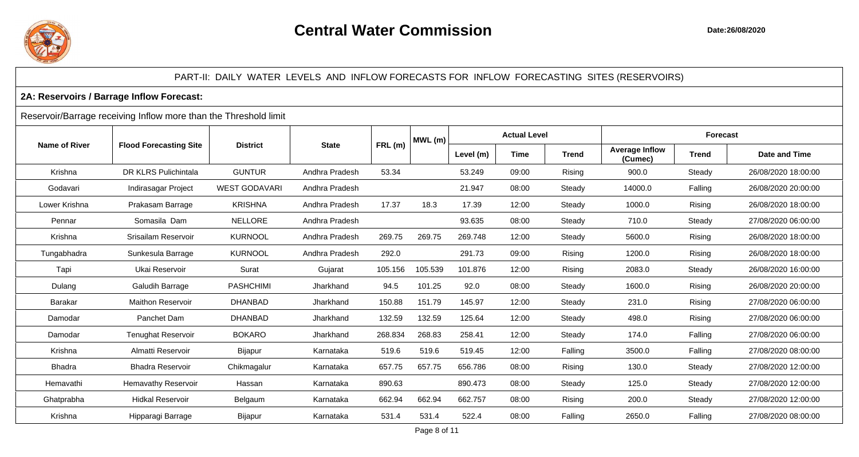

#### PART-II: DAILY WATER LEVELS AND INFLOW FORECASTS FOR INFLOW FORECASTING SITES (RESERVOIRS)

#### **2A: Reservoirs / Barrage Inflow Forecast:**

#### Reservoir/Barrage receiving Inflow more than the Threshold limit

|                      |                               |                      |                |         | $MWL$ (m) |           | <b>Actual Level</b> |              |                                  | <b>Forecast</b> |                      |  |
|----------------------|-------------------------------|----------------------|----------------|---------|-----------|-----------|---------------------|--------------|----------------------------------|-----------------|----------------------|--|
| <b>Name of River</b> | <b>Flood Forecasting Site</b> | <b>District</b>      | <b>State</b>   | FRL(m)  |           | Level (m) | <b>Time</b>         | <b>Trend</b> | <b>Average Inflow</b><br>(Cumec) | <b>Trend</b>    | <b>Date and Time</b> |  |
| Krishna              | DR KLRS Pulichintala          | <b>GUNTUR</b>        | Andhra Pradesh | 53.34   |           | 53.249    | 09:00               | Rising       | 900.0                            | Steady          | 26/08/2020 18:00:00  |  |
| Godavari             | Indirasagar Project           | <b>WEST GODAVARI</b> | Andhra Pradesh |         |           | 21.947    | 08:00               | Steady       | 14000.0                          | Falling         | 26/08/2020 20:00:00  |  |
| Lower Krishna        | Prakasam Barrage              | <b>KRISHNA</b>       | Andhra Pradesh | 17.37   | 18.3      | 17.39     | 12:00               | Steady       | 1000.0                           | Rising          | 26/08/2020 18:00:00  |  |
| Pennar               | Somasila Dam                  | <b>NELLORE</b>       | Andhra Pradesh |         |           | 93.635    | 08:00               | Steady       | 710.0                            | Steady          | 27/08/2020 06:00:00  |  |
| Krishna              | Srisailam Reservoir           | <b>KURNOOL</b>       | Andhra Pradesh | 269.75  | 269.75    | 269.748   | 12:00               | Steady       | 5600.0                           | Rising          | 26/08/2020 18:00:00  |  |
| Tungabhadra          | Sunkesula Barrage             | <b>KURNOOL</b>       | Andhra Pradesh | 292.0   |           | 291.73    | 09:00               | Rising       | 1200.0                           | Rising          | 26/08/2020 18:00:00  |  |
| Tapi                 | Ukai Reservoir                | Surat                | Gujarat        | 105.156 | 105.539   | 101.876   | 12:00               | Rising       | 2083.0                           | Steady          | 26/08/2020 16:00:00  |  |
| Dulang               | <b>Galudih Barrage</b>        | <b>PASHCHIMI</b>     | Jharkhand      | 94.5    | 101.25    | 92.0      | 08:00               | Steady       | 1600.0                           | Rising          | 26/08/2020 20:00:00  |  |
| Barakar              | <b>Maithon Reservoir</b>      | <b>DHANBAD</b>       | Jharkhand      | 150.88  | 151.79    | 145.97    | 12:00               | Steady       | 231.0                            | Rising          | 27/08/2020 06:00:00  |  |
| Damodar              | Panchet Dam                   | <b>DHANBAD</b>       | Jharkhand      | 132.59  | 132.59    | 125.64    | 12:00               | Steady       | 498.0                            | Rising          | 27/08/2020 06:00:00  |  |
| Damodar              | <b>Tenughat Reservoir</b>     | <b>BOKARO</b>        | Jharkhand      | 268.834 | 268.83    | 258.41    | 12:00               | Steady       | 174.0                            | Falling         | 27/08/2020 06:00:00  |  |
| Krishna              | Almatti Reservoir             | <b>Bijapur</b>       | Karnataka      | 519.6   | 519.6     | 519.45    | 12:00               | Falling      | 3500.0                           | Falling         | 27/08/2020 08:00:00  |  |
| <b>Bhadra</b>        | <b>Bhadra Reservoir</b>       | Chikmagalur          | Karnataka      | 657.75  | 657.75    | 656.786   | 08:00               | Rising       | 130.0                            | Steady          | 27/08/2020 12:00:00  |  |
| Hemavathi            | <b>Hemavathy Reservoir</b>    | Hassan               | Karnataka      | 890.63  |           | 890.473   | 08:00               | Steady       | 125.0                            | Steady          | 27/08/2020 12:00:00  |  |
| Ghatprabha           | <b>Hidkal Reservoir</b>       | Belgaum              | Karnataka      | 662.94  | 662.94    | 662.757   | 08:00               | Rising       | 200.0                            | Steady          | 27/08/2020 12:00:00  |  |
| Krishna              | Hipparagi Barrage             | Bijapur              | Karnataka      | 531.4   | 531.4     | 522.4     | 08:00               | Falling      | 2650.0                           | Falling         | 27/08/2020 08:00:00  |  |